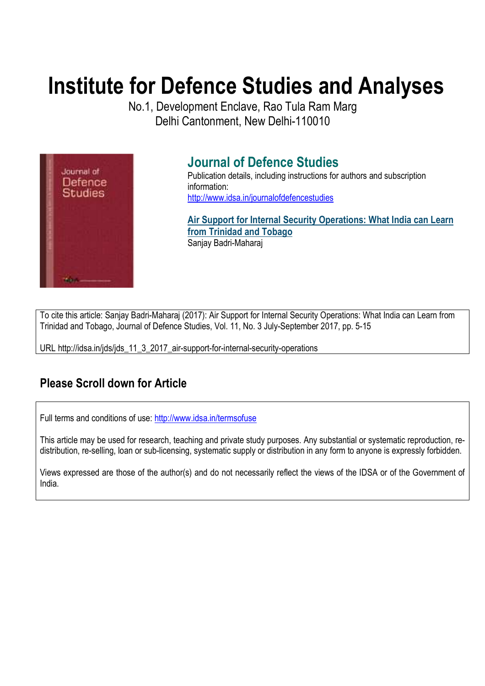# **Institute for Defence Studies and Analyses**

No.1, Development Enclave, Rao Tula Ram Marg Delhi Cantonment, New Delhi-110010



## **Journal of Defence Studies**

Publication details, including instructions for authors and subscription information: http://www.idsa.in/journalofdefencestudies

**Air Support for Internal Security Operations: What India can Learn from Trinidad and Tobago**  Sanjay Badri-Maharaj

To cite this article: Sanjay Badri-Maharaj (2017): Air Support for Internal Security Operations: What India can Learn from Trinidad and Tobago, Journal of Defence Studies, Vol. 11, No. 3 July-September 2017, pp. 5-15

URL http://idsa.in/jds/jds\_11\_3\_2017\_air-support-for-internal-security-operations

## **Please Scroll down for Article**

Full terms and conditions of use: http://www.idsa.in/termsofuse

This article may be used for research, teaching and private study purposes. Any substantial or systematic reproduction, redistribution, re-selling, loan or sub-licensing, systematic supply or distribution in any form to anyone is expressly forbidden.

Views expressed are those of the author(s) and do not necessarily reflect the views of the IDSA or of the Government of India.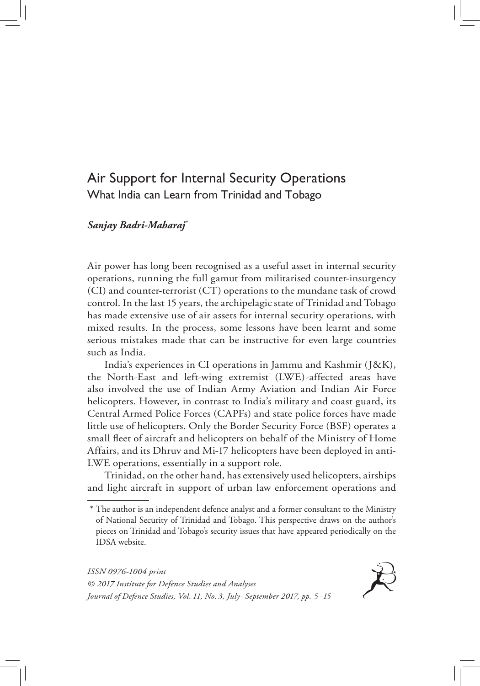### Air Support for Internal Security Operations What India can Learn from Trinidad and Tobago

#### *Sanjay Badri-Maharaj\**

Air power has long been recognised as a useful asset in internal security operations, running the full gamut from militarised counter-insurgency (CI) and counter-terrorist (CT) operations to the mundane task of crowd control. In the last 15 years, the archipelagic state of Trinidad and Tobago has made extensive use of air assets for internal security operations, with mixed results. In the process, some lessons have been learnt and some serious mistakes made that can be instructive for even large countries such as India.

India's experiences in CI operations in Jammu and Kashmir (J&K), the North-East and left-wing extremist (LWE)-affected areas have also involved the use of Indian Army Aviation and Indian Air Force helicopters. However, in contrast to India's military and coast guard, its Central Armed Police Forces (CAPFs) and state police forces have made little use of helicopters. Only the Border Security Force (BSF) operates a small fleet of aircraft and helicopters on behalf of the Ministry of Home Affairs, and its Dhruv and Mi-17 helicopters have been deployed in anti-LWE operations, essentially in a support role.

Trinidad, on the other hand, has extensively used helicopters, airships and light aircraft in support of urban law enforcement operations and

*ISSN 0976-1004 print © 2017 Institute for Defence Studies and Analyses Journal of Defence Studies, Vol. 11, No. 3, July–September 2017, pp. 5–15*



<sup>\*</sup> The author is an independent defence analyst and a former consultant to the Ministry of National Security of Trinidad and Tobago. This perspective draws on the author's pieces on Trinidad and Tobago's security issues that have appeared periodically on the IDSA website.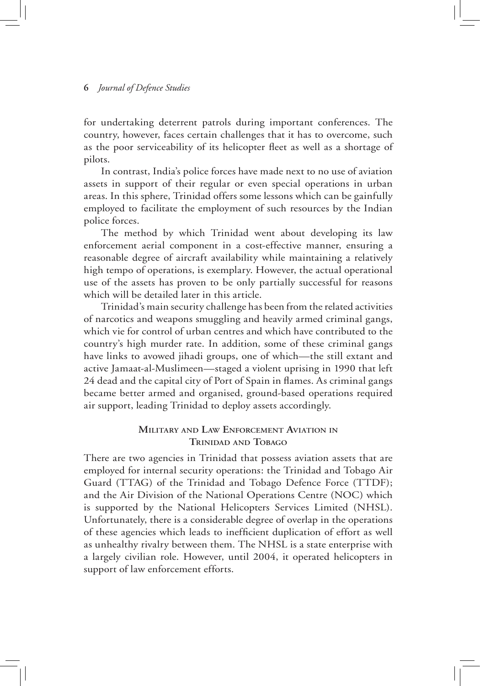for undertaking deterrent patrols during important conferences. The country, however, faces certain challenges that it has to overcome, such as the poor serviceability of its helicopter fleet as well as a shortage of pilots.

In contrast, India's police forces have made next to no use of aviation assets in support of their regular or even special operations in urban areas. In this sphere, Trinidad offers some lessons which can be gainfully employed to facilitate the employment of such resources by the Indian police forces.

The method by which Trinidad went about developing its law enforcement aerial component in a cost-effective manner, ensuring a reasonable degree of aircraft availability while maintaining a relatively high tempo of operations, is exemplary. However, the actual operational use of the assets has proven to be only partially successful for reasons which will be detailed later in this article.

Trinidad's main security challenge has been from the related activities of narcotics and weapons smuggling and heavily armed criminal gangs, which vie for control of urban centres and which have contributed to the country's high murder rate. In addition, some of these criminal gangs have links to avowed jihadi groups, one of which—the still extant and active Jamaat-al-Muslimeen—staged a violent uprising in 1990 that left 24 dead and the capital city of Port of Spain in flames. As criminal gangs became better armed and organised, ground-based operations required air support, leading Trinidad to deploy assets accordingly.

#### **Military and Law Enforcement Aviation in Trinidad and Tobago**

There are two agencies in Trinidad that possess aviation assets that are employed for internal security operations: the Trinidad and Tobago Air Guard (TTAG) of the Trinidad and Tobago Defence Force (TTDF); and the Air Division of the National Operations Centre (NOC) which is supported by the National Helicopters Services Limited (NHSL). Unfortunately, there is a considerable degree of overlap in the operations of these agencies which leads to inefficient duplication of effort as well as unhealthy rivalry between them. The NHSL is a state enterprise with a largely civilian role. However, until 2004, it operated helicopters in support of law enforcement efforts.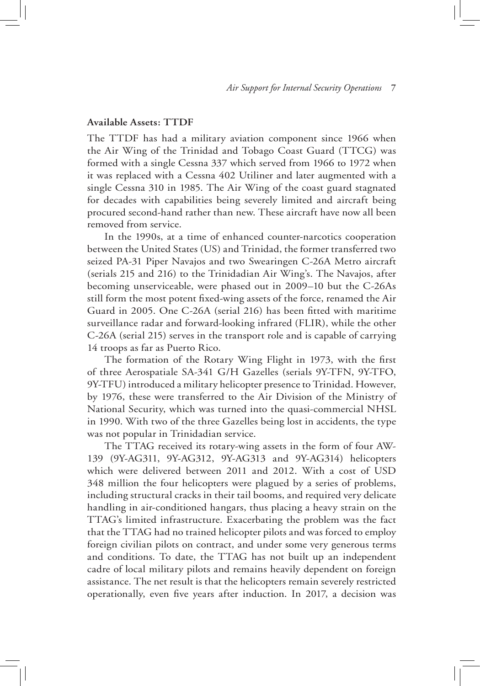#### **Available Assets: TTDF**

The TTDF has had a military aviation component since 1966 when the Air Wing of the Trinidad and Tobago Coast Guard (TTCG) was formed with a single Cessna 337 which served from 1966 to 1972 when it was replaced with a Cessna 402 Utiliner and later augmented with a single Cessna 310 in 1985. The Air Wing of the coast guard stagnated for decades with capabilities being severely limited and aircraft being procured second-hand rather than new. These aircraft have now all been removed from service.

In the 1990s, at a time of enhanced counter-narcotics cooperation between the United States (US) and Trinidad, the former transferred two seized PA-31 Piper Navajos and two Swearingen C-26A Metro aircraft (serials 215 and 216) to the Trinidadian Air Wing's. The Navajos, after becoming unserviceable, were phased out in 2009–10 but the C-26As still form the most potent fixed-wing assets of the force, renamed the Air Guard in 2005. One C-26A (serial 216) has been fitted with maritime surveillance radar and forward-looking infrared (FLIR), while the other C-26A (serial 215) serves in the transport role and is capable of carrying 14 troops as far as Puerto Rico.

The formation of the Rotary Wing Flight in 1973, with the first of three Aerospatiale SA-341 G/H Gazelles (serials 9Y-TFN, 9Y-TFO, 9Y-TFU) introduced a military helicopter presence to Trinidad. However, by 1976, these were transferred to the Air Division of the Ministry of National Security, which was turned into the quasi-commercial NHSL in 1990. With two of the three Gazelles being lost in accidents, the type was not popular in Trinidadian service.

The TTAG received its rotary-wing assets in the form of four AW-139 (9Y-AG311, 9Y-AG312, 9Y-AG313 and 9Y-AG314) helicopters which were delivered between 2011 and 2012. With a cost of USD 348 million the four helicopters were plagued by a series of problems, including structural cracks in their tail booms, and required very delicate handling in air-conditioned hangars, thus placing a heavy strain on the TTAG's limited infrastructure. Exacerbating the problem was the fact that the TTAG had no trained helicopter pilots and was forced to employ foreign civilian pilots on contract, and under some very generous terms and conditions. To date, the TTAG has not built up an independent cadre of local military pilots and remains heavily dependent on foreign assistance. The net result is that the helicopters remain severely restricted operationally, even five years after induction. In 2017, a decision was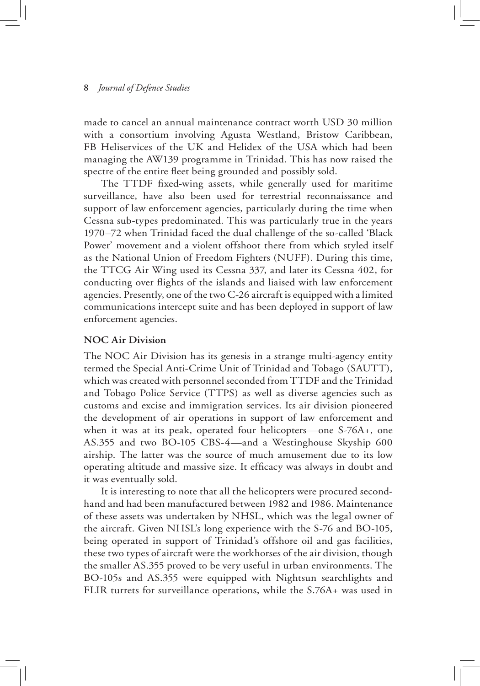made to cancel an annual maintenance contract worth USD 30 million with a consortium involving Agusta Westland, Bristow Caribbean, FB Heliservices of the UK and Helidex of the USA which had been managing the AW139 programme in Trinidad. This has now raised the spectre of the entire fleet being grounded and possibly sold.

The TTDF fixed-wing assets, while generally used for maritime surveillance, have also been used for terrestrial reconnaissance and support of law enforcement agencies, particularly during the time when Cessna sub-types predominated. This was particularly true in the years 1970–72 when Trinidad faced the dual challenge of the so-called 'Black Power' movement and a violent offshoot there from which styled itself as the National Union of Freedom Fighters (NUFF). During this time, the TTCG Air Wing used its Cessna 337, and later its Cessna 402, for conducting over flights of the islands and liaised with law enforcement agencies. Presently, one of the two C-26 aircraft is equipped with a limited communications intercept suite and has been deployed in support of law enforcement agencies.

#### **NOC Air Division**

The NOC Air Division has its genesis in a strange multi-agency entity termed the Special Anti-Crime Unit of Trinidad and Tobago (SAUTT), which was created with personnel seconded from TTDF and the Trinidad and Tobago Police Service (TTPS) as well as diverse agencies such as customs and excise and immigration services. Its air division pioneered the development of air operations in support of law enforcement and when it was at its peak, operated four helicopters—one S-76A+, one AS.355 and two BO-105 CBS-4—and a Westinghouse Skyship 600 airship. The latter was the source of much amusement due to its low operating altitude and massive size. It efficacy was always in doubt and it was eventually sold.

It is interesting to note that all the helicopters were procured secondhand and had been manufactured between 1982 and 1986. Maintenance of these assets was undertaken by NHSL, which was the legal owner of the aircraft. Given NHSL's long experience with the S-76 and BO-105, being operated in support of Trinidad's offshore oil and gas facilities, these two types of aircraft were the workhorses of the air division, though the smaller AS.355 proved to be very useful in urban environments. The BO-105s and AS.355 were equipped with Nightsun searchlights and FLIR turrets for surveillance operations, while the S.76A+ was used in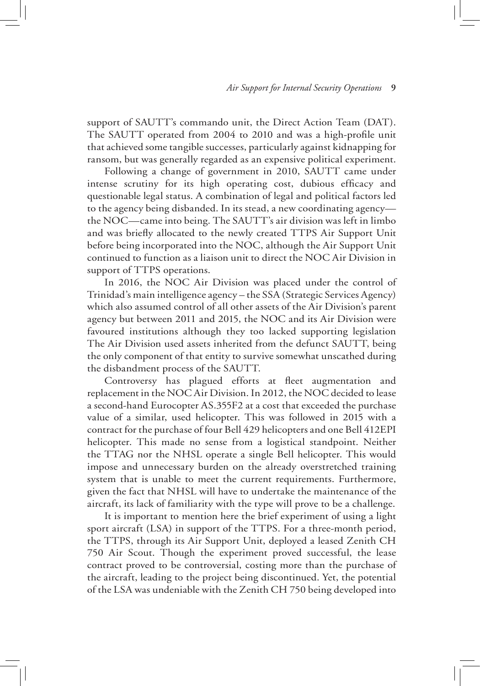support of SAUTT's commando unit, the Direct Action Team (DAT). The SAUTT operated from 2004 to 2010 and was a high-profile unit that achieved some tangible successes, particularly against kidnapping for ransom, but was generally regarded as an expensive political experiment.

Following a change of government in 2010, SAUTT came under intense scrutiny for its high operating cost, dubious efficacy and questionable legal status. A combination of legal and political factors led to the agency being disbanded. In its stead, a new coordinating agency the NOC—came into being. The SAUTT's air division was left in limbo and was briefly allocated to the newly created TTPS Air Support Unit before being incorporated into the NOC, although the Air Support Unit continued to function as a liaison unit to direct the NOC Air Division in support of TTPS operations.

In 2016, the NOC Air Division was placed under the control of Trinidad's main intelligence agency – the SSA (Strategic Services Agency) which also assumed control of all other assets of the Air Division's parent agency but between 2011 and 2015, the NOC and its Air Division were favoured institutions although they too lacked supporting legislation The Air Division used assets inherited from the defunct SAUTT, being the only component of that entity to survive somewhat unscathed during the disbandment process of the SAUTT.

Controversy has plagued efforts at fleet augmentation and replacement in the NOC Air Division. In 2012, the NOC decided to lease a second-hand Eurocopter AS.355F2 at a cost that exceeded the purchase value of a similar, used helicopter. This was followed in 2015 with a contract for the purchase of four Bell 429 helicopters and one Bell 412EPI helicopter. This made no sense from a logistical standpoint. Neither the TTAG nor the NHSL operate a single Bell helicopter. This would impose and unnecessary burden on the already overstretched training system that is unable to meet the current requirements. Furthermore, given the fact that NHSL will have to undertake the maintenance of the aircraft, its lack of familiarity with the type will prove to be a challenge.

It is important to mention here the brief experiment of using a light sport aircraft (LSA) in support of the TTPS. For a three-month period, the TTPS, through its Air Support Unit, deployed a leased Zenith CH 750 Air Scout. Though the experiment proved successful, the lease contract proved to be controversial, costing more than the purchase of the aircraft, leading to the project being discontinued. Yet, the potential of the LSA was undeniable with the Zenith CH 750 being developed into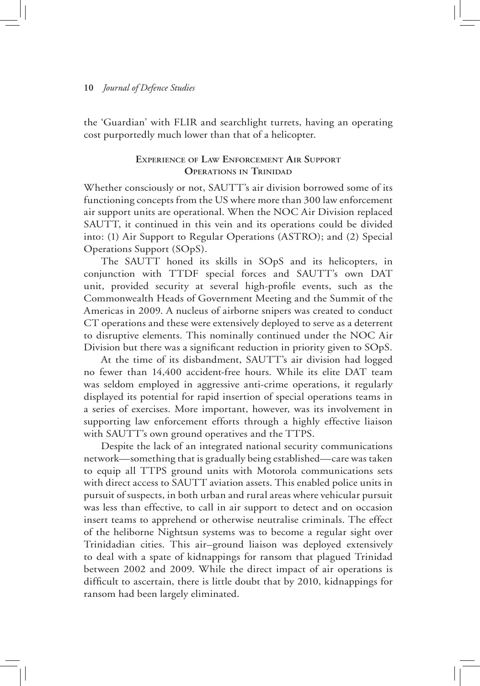the 'Guardian' with FLIR and searchlight turrets, having an operating cost purportedly much lower than that of a helicopter.

#### **Experience of Law Enforcement Air Support Operations in Trinidad**

Whether consciously or not, SAUTT's air division borrowed some of its functioning concepts from the US where more than 300 law enforcement air support units are operational. When the NOC Air Division replaced SAUTT, it continued in this vein and its operations could be divided into: (1) Air Support to Regular Operations (ASTRO); and (2) Special Operations Support (SOpS).

The SAUTT honed its skills in SOpS and its helicopters, in conjunction with TTDF special forces and SAUTT's own DAT unit, provided security at several high-profile events, such as the Commonwealth Heads of Government Meeting and the Summit of the Americas in 2009. A nucleus of airborne snipers was created to conduct CT operations and these were extensively deployed to serve as a deterrent to disruptive elements. This nominally continued under the NOC Air Division but there was a significant reduction in priority given to SOpS.

At the time of its disbandment, SAUTT's air division had logged no fewer than 14,400 accident-free hours. While its elite DAT team was seldom employed in aggressive anti-crime operations, it regularly displayed its potential for rapid insertion of special operations teams in a series of exercises. More important, however, was its involvement in supporting law enforcement efforts through a highly effective liaison with SAUTT's own ground operatives and the TTPS.

Despite the lack of an integrated national security communications network—something that is gradually being established—care was taken to equip all TTPS ground units with Motorola communications sets with direct access to SAUTT aviation assets. This enabled police units in pursuit of suspects, in both urban and rural areas where vehicular pursuit was less than effective, to call in air support to detect and on occasion insert teams to apprehend or otherwise neutralise criminals. The effect of the heliborne Nightsun systems was to become a regular sight over Trinidadian cities. This air–ground liaison was deployed extensively to deal with a spate of kidnappings for ransom that plagued Trinidad between 2002 and 2009. While the direct impact of air operations is difficult to ascertain, there is little doubt that by 2010, kidnappings for ransom had been largely eliminated.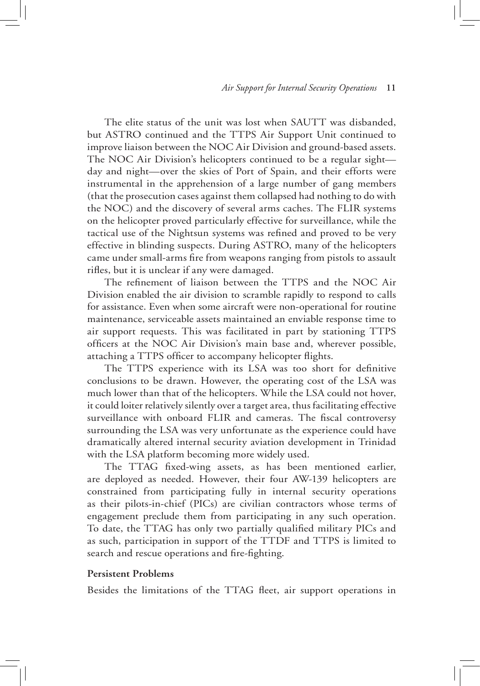The elite status of the unit was lost when SAUTT was disbanded, but ASTRO continued and the TTPS Air Support Unit continued to improve liaison between the NOC Air Division and ground-based assets. The NOC Air Division's helicopters continued to be a regular sight day and night—over the skies of Port of Spain, and their efforts were instrumental in the apprehension of a large number of gang members (that the prosecution cases against them collapsed had nothing to do with the NOC) and the discovery of several arms caches. The FLIR systems on the helicopter proved particularly effective for surveillance, while the tactical use of the Nightsun systems was refined and proved to be very effective in blinding suspects. During ASTRO, many of the helicopters came under small-arms fire from weapons ranging from pistols to assault rifles, but it is unclear if any were damaged.

The refinement of liaison between the TTPS and the NOC Air Division enabled the air division to scramble rapidly to respond to calls for assistance. Even when some aircraft were non-operational for routine maintenance, serviceable assets maintained an enviable response time to air support requests. This was facilitated in part by stationing TTPS officers at the NOC Air Division's main base and, wherever possible, attaching a TTPS officer to accompany helicopter flights.

The TTPS experience with its LSA was too short for definitive conclusions to be drawn. However, the operating cost of the LSA was much lower than that of the helicopters. While the LSA could not hover, it could loiter relatively silently over a target area, thus facilitating effective surveillance with onboard FLIR and cameras. The fiscal controversy surrounding the LSA was very unfortunate as the experience could have dramatically altered internal security aviation development in Trinidad with the LSA platform becoming more widely used.

The TTAG fixed-wing assets, as has been mentioned earlier, are deployed as needed. However, their four AW-139 helicopters are constrained from participating fully in internal security operations as their pilots-in-chief (PICs) are civilian contractors whose terms of engagement preclude them from participating in any such operation. To date, the TTAG has only two partially qualified military PICs and as such, participation in support of the TTDF and TTPS is limited to search and rescue operations and fire-fighting.

#### **Persistent Problems**

Besides the limitations of the TTAG fleet, air support operations in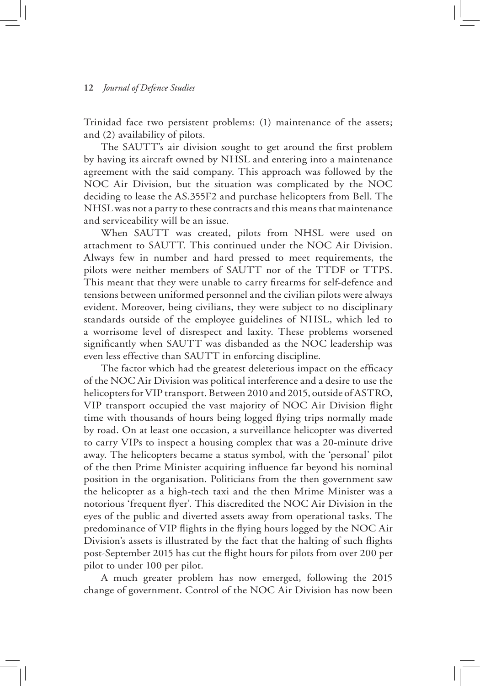Trinidad face two persistent problems: (1) maintenance of the assets; and (2) availability of pilots.

The SAUTT's air division sought to get around the first problem by having its aircraft owned by NHSL and entering into a maintenance agreement with the said company. This approach was followed by the NOC Air Division, but the situation was complicated by the NOC deciding to lease the AS.355F2 and purchase helicopters from Bell. The NHSL was not a party to these contracts and this means that maintenance and serviceability will be an issue.

When SAUTT was created, pilots from NHSL were used on attachment to SAUTT. This continued under the NOC Air Division. Always few in number and hard pressed to meet requirements, the pilots were neither members of SAUTT nor of the TTDF or TTPS. This meant that they were unable to carry firearms for self-defence and tensions between uniformed personnel and the civilian pilots were always evident. Moreover, being civilians, they were subject to no disciplinary standards outside of the employee guidelines of NHSL, which led to a worrisome level of disrespect and laxity. These problems worsened significantly when SAUTT was disbanded as the NOC leadership was even less effective than SAUTT in enforcing discipline.

The factor which had the greatest deleterious impact on the efficacy of the NOC Air Division was political interference and a desire to use the helicopters for VIP transport. Between 2010 and 2015, outside of ASTRO, VIP transport occupied the vast majority of NOC Air Division flight time with thousands of hours being logged flying trips normally made by road. On at least one occasion, a surveillance helicopter was diverted to carry VIPs to inspect a housing complex that was a 20-minute drive away. The helicopters became a status symbol, with the 'personal' pilot of the then Prime Minister acquiring influence far beyond his nominal position in the organisation. Politicians from the then government saw the helicopter as a high-tech taxi and the then Mrime Minister was a notorious 'frequent flyer'. This discredited the NOC Air Division in the eyes of the public and diverted assets away from operational tasks. The predominance of VIP flights in the flying hours logged by the NOC Air Division's assets is illustrated by the fact that the halting of such flights post-September 2015 has cut the flight hours for pilots from over 200 per pilot to under 100 per pilot.

A much greater problem has now emerged, following the 2015 change of government. Control of the NOC Air Division has now been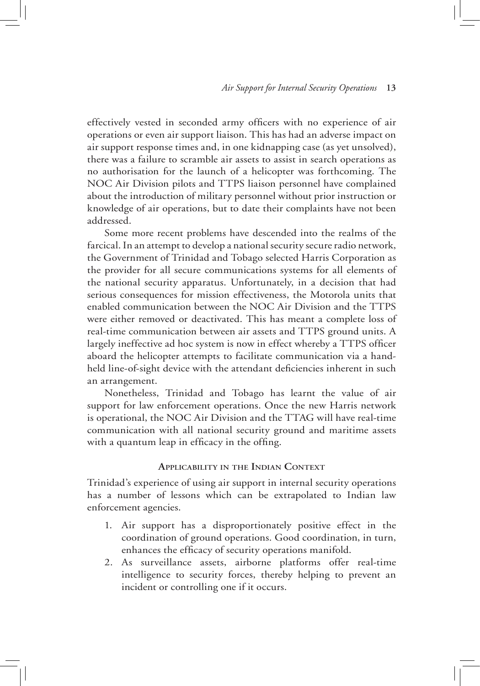effectively vested in seconded army officers with no experience of air operations or even air support liaison. This has had an adverse impact on air support response times and, in one kidnapping case (as yet unsolved), there was a failure to scramble air assets to assist in search operations as no authorisation for the launch of a helicopter was forthcoming. The NOC Air Division pilots and TTPS liaison personnel have complained about the introduction of military personnel without prior instruction or knowledge of air operations, but to date their complaints have not been addressed.

Some more recent problems have descended into the realms of the farcical. In an attempt to develop a national security secure radio network, the Government of Trinidad and Tobago selected Harris Corporation as the provider for all secure communications systems for all elements of the national security apparatus. Unfortunately, in a decision that had serious consequences for mission effectiveness, the Motorola units that enabled communication between the NOC Air Division and the TTPS were either removed or deactivated. This has meant a complete loss of real-time communication between air assets and TTPS ground units. A largely ineffective ad hoc system is now in effect whereby a TTPS officer aboard the helicopter attempts to facilitate communication via a handheld line-of-sight device with the attendant deficiencies inherent in such an arrangement.

Nonetheless, Trinidad and Tobago has learnt the value of air support for law enforcement operations. Once the new Harris network is operational, the NOC Air Division and the TTAG will have real-time communication with all national security ground and maritime assets with a quantum leap in efficacy in the offing.

#### **Applicability in the Indian Context**

Trinidad's experience of using air support in internal security operations has a number of lessons which can be extrapolated to Indian law enforcement agencies.

- 1. Air support has a disproportionately positive effect in the coordination of ground operations. Good coordination, in turn, enhances the efficacy of security operations manifold.
- 2. As surveillance assets, airborne platforms offer real-time intelligence to security forces, thereby helping to prevent an incident or controlling one if it occurs.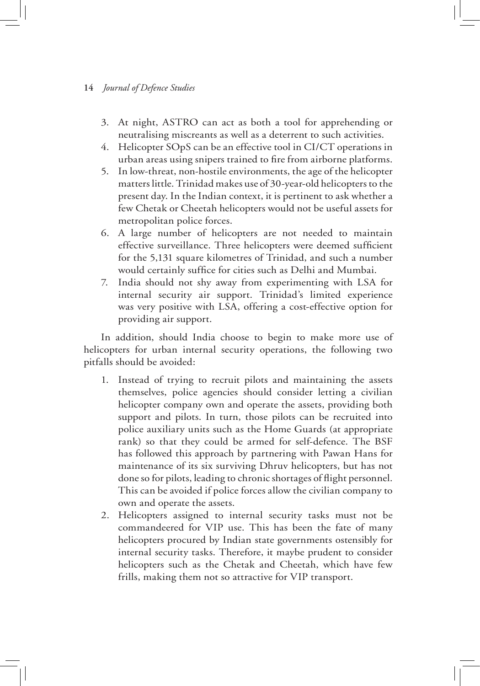- 3. At night, ASTRO can act as both a tool for apprehending or neutralising miscreants as well as a deterrent to such activities.
- 4. Helicopter SOpS can be an effective tool in CI/CT operations in urban areas using snipers trained to fire from airborne platforms.
- 5. In low-threat, non-hostile environments, the age of the helicopter matters little. Trinidad makes use of 30-year-old helicopters to the present day. In the Indian context, it is pertinent to ask whether a few Chetak or Cheetah helicopters would not be useful assets for metropolitan police forces.
- 6. A large number of helicopters are not needed to maintain effective surveillance. Three helicopters were deemed sufficient for the 5,131 square kilometres of Trinidad, and such a number would certainly suffice for cities such as Delhi and Mumbai.
- 7. India should not shy away from experimenting with LSA for internal security air support. Trinidad's limited experience was very positive with LSA, offering a cost-effective option for providing air support.

In addition, should India choose to begin to make more use of helicopters for urban internal security operations, the following two pitfalls should be avoided:

- 1. Instead of trying to recruit pilots and maintaining the assets themselves, police agencies should consider letting a civilian helicopter company own and operate the assets, providing both support and pilots. In turn, those pilots can be recruited into police auxiliary units such as the Home Guards (at appropriate rank) so that they could be armed for self-defence. The BSF has followed this approach by partnering with Pawan Hans for maintenance of its six surviving Dhruv helicopters, but has not done so for pilots, leading to chronic shortages of flight personnel. This can be avoided if police forces allow the civilian company to own and operate the assets.
- 2. Helicopters assigned to internal security tasks must not be commandeered for VIP use. This has been the fate of many helicopters procured by Indian state governments ostensibly for internal security tasks. Therefore, it maybe prudent to consider helicopters such as the Chetak and Cheetah, which have few frills, making them not so attractive for VIP transport.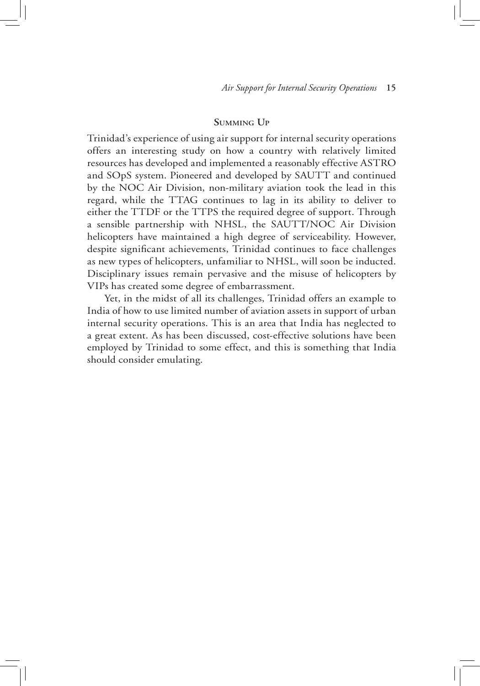#### **Summing Up**

Trinidad's experience of using air support for internal security operations offers an interesting study on how a country with relatively limited resources has developed and implemented a reasonably effective ASTRO and SOpS system. Pioneered and developed by SAUTT and continued by the NOC Air Division, non-military aviation took the lead in this regard, while the TTAG continues to lag in its ability to deliver to either the TTDF or the TTPS the required degree of support. Through a sensible partnership with NHSL, the SAUTT/NOC Air Division helicopters have maintained a high degree of serviceability. However, despite significant achievements, Trinidad continues to face challenges as new types of helicopters, unfamiliar to NHSL, will soon be inducted. Disciplinary issues remain pervasive and the misuse of helicopters by VIPs has created some degree of embarrassment.

Yet, in the midst of all its challenges, Trinidad offers an example to India of how to use limited number of aviation assets in support of urban internal security operations. This is an area that India has neglected to a great extent. As has been discussed, cost-effective solutions have been employed by Trinidad to some effect, and this is something that India should consider emulating.